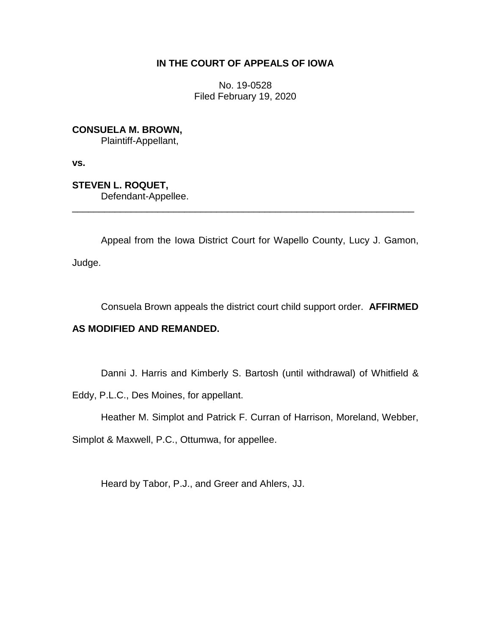# **IN THE COURT OF APPEALS OF IOWA**

No. 19-0528 Filed February 19, 2020

**CONSUELA M. BROWN,**

Plaintiff-Appellant,

**vs.**

**STEVEN L. ROQUET,** Defendant-Appellee.

Appeal from the Iowa District Court for Wapello County, Lucy J. Gamon,

\_\_\_\_\_\_\_\_\_\_\_\_\_\_\_\_\_\_\_\_\_\_\_\_\_\_\_\_\_\_\_\_\_\_\_\_\_\_\_\_\_\_\_\_\_\_\_\_\_\_\_\_\_\_\_\_\_\_\_\_\_\_\_\_

Judge.

Consuela Brown appeals the district court child support order. **AFFIRMED** 

# **AS MODIFIED AND REMANDED.**

Danni J. Harris and Kimberly S. Bartosh (until withdrawal) of Whitfield &

Eddy, P.L.C., Des Moines, for appellant.

Heather M. Simplot and Patrick F. Curran of Harrison, Moreland, Webber,

Simplot & Maxwell, P.C., Ottumwa, for appellee.

Heard by Tabor, P.J., and Greer and Ahlers, JJ.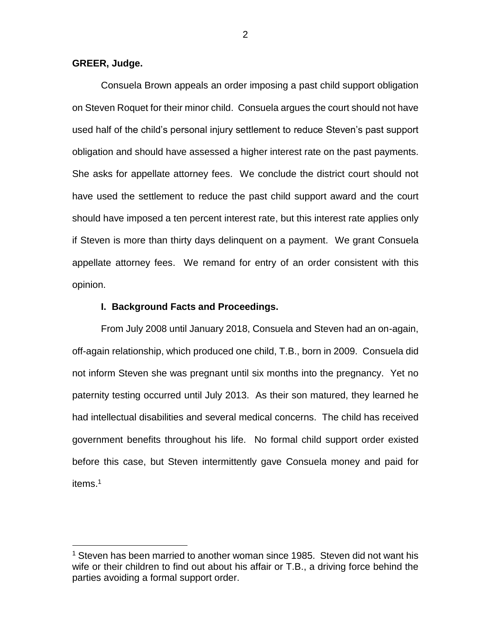## **GREER, Judge.**

 $\overline{a}$ 

Consuela Brown appeals an order imposing a past child support obligation on Steven Roquet for their minor child. Consuela argues the court should not have used half of the child's personal injury settlement to reduce Steven's past support obligation and should have assessed a higher interest rate on the past payments. She asks for appellate attorney fees. We conclude the district court should not have used the settlement to reduce the past child support award and the court should have imposed a ten percent interest rate, but this interest rate applies only if Steven is more than thirty days delinquent on a payment. We grant Consuela appellate attorney fees. We remand for entry of an order consistent with this opinion.

## **I. Background Facts and Proceedings.**

From July 2008 until January 2018, Consuela and Steven had an on-again, off-again relationship, which produced one child, T.B., born in 2009. Consuela did not inform Steven she was pregnant until six months into the pregnancy. Yet no paternity testing occurred until July 2013. As their son matured, they learned he had intellectual disabilities and several medical concerns. The child has received government benefits throughout his life. No formal child support order existed before this case, but Steven intermittently gave Consuela money and paid for items. 1

 $1$  Steven has been married to another woman since 1985. Steven did not want his wife or their children to find out about his affair or T.B., a driving force behind the parties avoiding a formal support order.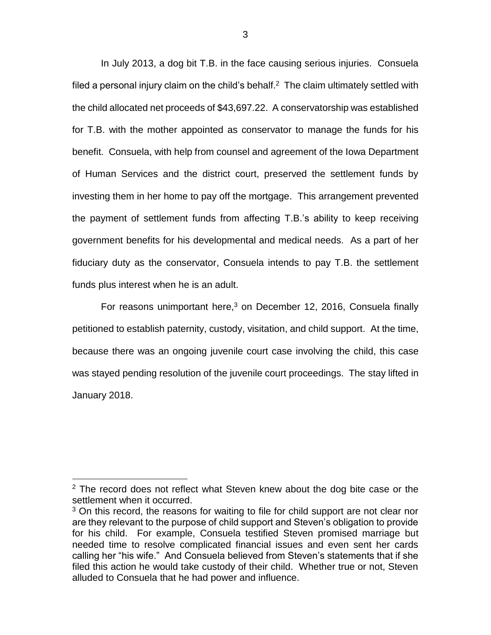In July 2013, a dog bit T.B. in the face causing serious injuries. Consuela filed a personal injury claim on the child's behalf.<sup>2</sup> The claim ultimately settled with the child allocated net proceeds of \$43,697.22. A conservatorship was established for T.B. with the mother appointed as conservator to manage the funds for his benefit. Consuela, with help from counsel and agreement of the Iowa Department of Human Services and the district court, preserved the settlement funds by investing them in her home to pay off the mortgage. This arrangement prevented the payment of settlement funds from affecting T.B.'s ability to keep receiving government benefits for his developmental and medical needs. As a part of her fiduciary duty as the conservator, Consuela intends to pay T.B. the settlement funds plus interest when he is an adult.

For reasons unimportant here,<sup>3</sup> on December 12, 2016, Consuela finally petitioned to establish paternity, custody, visitation, and child support. At the time, because there was an ongoing juvenile court case involving the child, this case was stayed pending resolution of the juvenile court proceedings. The stay lifted in January 2018.

 $2$  The record does not reflect what Steven knew about the dog bite case or the settlement when it occurred.

 $3$  On this record, the reasons for waiting to file for child support are not clear nor are they relevant to the purpose of child support and Steven's obligation to provide for his child. For example, Consuela testified Steven promised marriage but needed time to resolve complicated financial issues and even sent her cards calling her "his wife." And Consuela believed from Steven's statements that if she filed this action he would take custody of their child. Whether true or not, Steven alluded to Consuela that he had power and influence.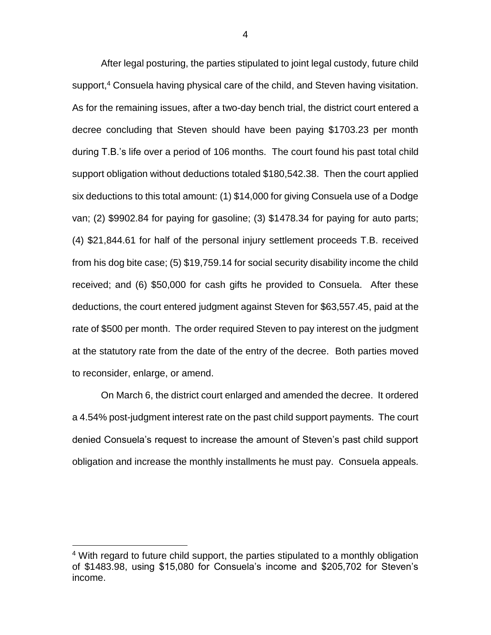After legal posturing, the parties stipulated to joint legal custody, future child support, <sup>4</sup> Consuela having physical care of the child, and Steven having visitation. As for the remaining issues, after a two-day bench trial, the district court entered a decree concluding that Steven should have been paying \$1703.23 per month during T.B.'s life over a period of 106 months. The court found his past total child support obligation without deductions totaled \$180,542.38. Then the court applied six deductions to this total amount: (1) \$14,000 for giving Consuela use of a Dodge van; (2) \$9902.84 for paying for gasoline; (3) \$1478.34 for paying for auto parts; (4) \$21,844.61 for half of the personal injury settlement proceeds T.B. received from his dog bite case; (5) \$19,759.14 for social security disability income the child received; and (6) \$50,000 for cash gifts he provided to Consuela. After these deductions, the court entered judgment against Steven for \$63,557.45, paid at the rate of \$500 per month. The order required Steven to pay interest on the judgment at the statutory rate from the date of the entry of the decree. Both parties moved to reconsider, enlarge, or amend.

On March 6, the district court enlarged and amended the decree. It ordered a 4.54% post-judgment interest rate on the past child support payments. The court denied Consuela's request to increase the amount of Steven's past child support obligation and increase the monthly installments he must pay. Consuela appeals.

<sup>&</sup>lt;sup>4</sup> With regard to future child support, the parties stipulated to a monthly obligation of \$1483.98, using \$15,080 for Consuela's income and \$205,702 for Steven's income.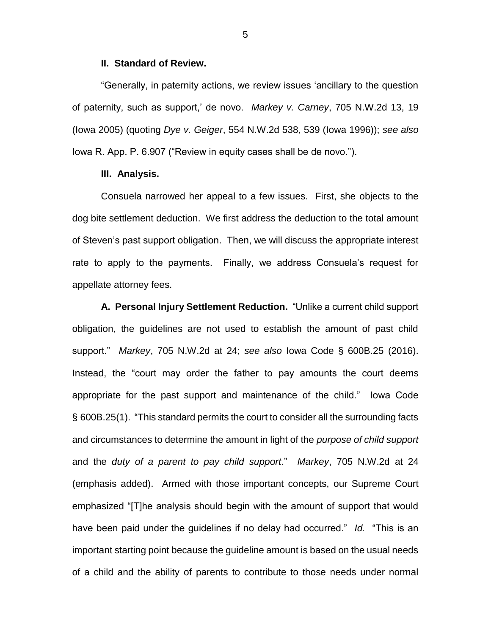#### **II. Standard of Review.**

"Generally, in paternity actions, we review issues 'ancillary to the question of paternity, such as support,' de novo. *Markey v. Carney*, 705 N.W.2d 13, 19 (Iowa 2005) (quoting *Dye v. Geiger*, 554 N.W.2d 538, 539 (Iowa 1996)); *see also* Iowa R. App. P. 6.907 ("Review in equity cases shall be de novo.").

## **III. Analysis.**

Consuela narrowed her appeal to a few issues. First, she objects to the dog bite settlement deduction. We first address the deduction to the total amount of Steven's past support obligation. Then, we will discuss the appropriate interest rate to apply to the payments. Finally, we address Consuela's request for appellate attorney fees.

**A. Personal Injury Settlement Reduction.** "Unlike a current child support obligation, the guidelines are not used to establish the amount of past child support." *Markey*, 705 N.W.2d at 24; *see also* Iowa Code § 600B.25 (2016). Instead, the "court may order the father to pay amounts the court deems appropriate for the past support and maintenance of the child." Iowa Code § 600B.25(1). "This standard permits the court to consider all the surrounding facts and circumstances to determine the amount in light of the *purpose of child support* and the *duty of a parent to pay child support*." *Markey*, 705 N.W.2d at 24 (emphasis added). Armed with those important concepts, our Supreme Court emphasized "[T]he analysis should begin with the amount of support that would have been paid under the guidelines if no delay had occurred." *Id.* "This is an important starting point because the guideline amount is based on the usual needs of a child and the ability of parents to contribute to those needs under normal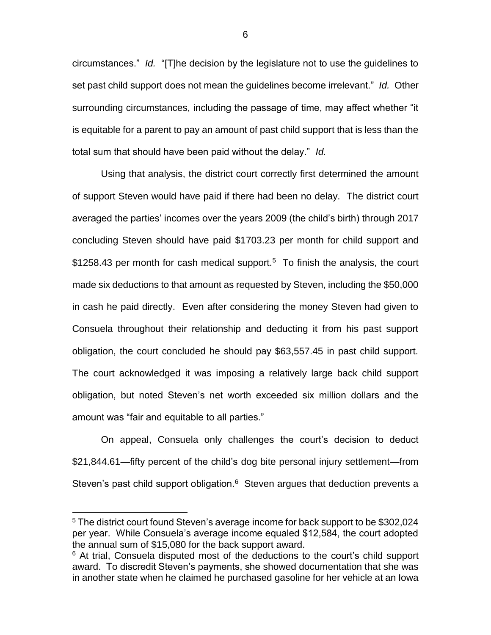circumstances." *Id.* "[T]he decision by the legislature not to use the guidelines to set past child support does not mean the guidelines become irrelevant." *Id.* Other surrounding circumstances, including the passage of time, may affect whether "it is equitable for a parent to pay an amount of past child support that is less than the total sum that should have been paid without the delay." *Id.*

Using that analysis, the district court correctly first determined the amount of support Steven would have paid if there had been no delay. The district court averaged the parties' incomes over the years 2009 (the child's birth) through 2017 concluding Steven should have paid \$1703.23 per month for child support and \$1258.43 per month for cash medical support.<sup>5</sup> To finish the analysis, the court made six deductions to that amount as requested by Steven, including the \$50,000 in cash he paid directly. Even after considering the money Steven had given to Consuela throughout their relationship and deducting it from his past support obligation, the court concluded he should pay \$63,557.45 in past child support. The court acknowledged it was imposing a relatively large back child support obligation, but noted Steven's net worth exceeded six million dollars and the amount was "fair and equitable to all parties."

On appeal, Consuela only challenges the court's decision to deduct \$21,844.61—fifty percent of the child's dog bite personal injury settlement—from Steven's past child support obligation. $6$  Steven argues that deduction prevents a

 $\overline{a}$ 

<sup>5</sup> The district court found Steven's average income for back support to be \$302,024 per year. While Consuela's average income equaled \$12,584, the court adopted the annual sum of \$15,080 for the back support award.

 $6$  At trial, Consuela disputed most of the deductions to the court's child support award. To discredit Steven's payments, she showed documentation that she was in another state when he claimed he purchased gasoline for her vehicle at an Iowa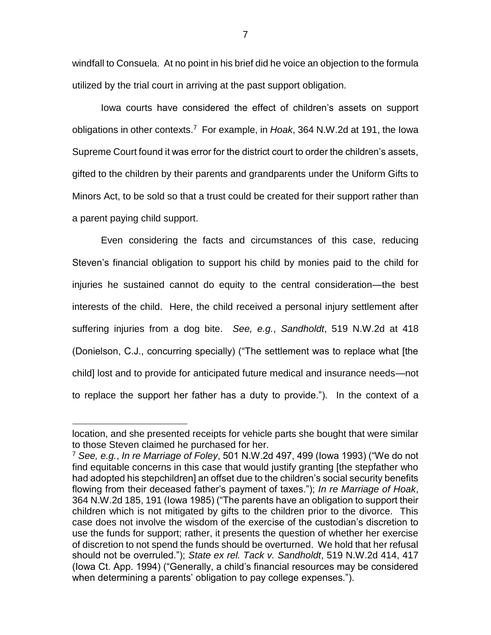windfall to Consuela. At no point in his brief did he voice an objection to the formula utilized by the trial court in arriving at the past support obligation.

Iowa courts have considered the effect of children's assets on support obligations in other contexts.<sup>7</sup> For example, in *Hoak*, 364 N.W.2d at 191, the Iowa Supreme Court found it was error for the district court to order the children's assets, gifted to the children by their parents and grandparents under the Uniform Gifts to Minors Act, to be sold so that a trust could be created for their support rather than a parent paying child support.

Even considering the facts and circumstances of this case, reducing Steven's financial obligation to support his child by monies paid to the child for injuries he sustained cannot do equity to the central consideration—the best interests of the child. Here, the child received a personal injury settlement after suffering injuries from a dog bite. *See, e.g.*, *Sandholdt*, 519 N.W.2d at 418 (Donielson, C.J., concurring specially) ("The settlement was to replace what [the child] lost and to provide for anticipated future medical and insurance needs—not to replace the support her father has a duty to provide."). In the context of a

location, and she presented receipts for vehicle parts she bought that were similar to those Steven claimed he purchased for her.

<sup>7</sup> *See, e.g.*, *In re Marriage of Foley*, 501 N.W.2d 497, 499 (Iowa 1993) ("We do not find equitable concerns in this case that would justify granting [the stepfather who had adopted his stepchildren] an offset due to the children's social security benefits flowing from their deceased father's payment of taxes."); *In re Marriage of Hoak*, 364 N.W.2d 185, 191 (Iowa 1985) ("The parents have an obligation to support their children which is not mitigated by gifts to the children prior to the divorce. This case does not involve the wisdom of the exercise of the custodian's discretion to use the funds for support; rather, it presents the question of whether her exercise of discretion to not spend the funds should be overturned. We hold that her refusal should not be overruled."); *State ex rel. Tack v. Sandholdt*, 519 N.W.2d 414, 417 (Iowa Ct. App. 1994) ("Generally, a child's financial resources may be considered when determining a parents' obligation to pay college expenses.").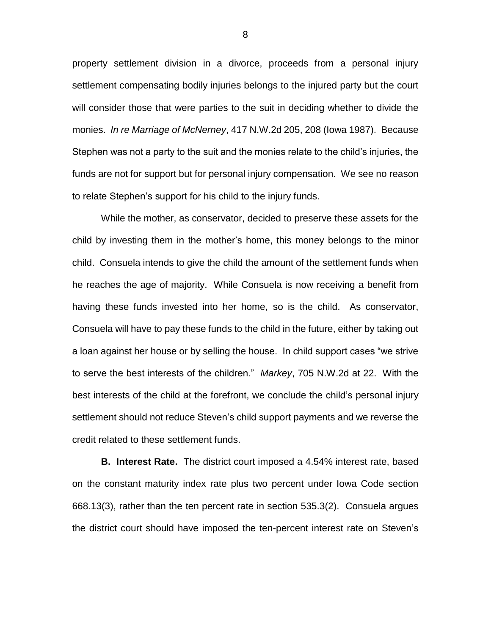property settlement division in a divorce, proceeds from a personal injury settlement compensating bodily injuries belongs to the injured party but the court will consider those that were parties to the suit in deciding whether to divide the monies. *In re Marriage of McNerney*, 417 N.W.2d 205, 208 (Iowa 1987). Because Stephen was not a party to the suit and the monies relate to the child's injuries, the funds are not for support but for personal injury compensation. We see no reason to relate Stephen's support for his child to the injury funds.

While the mother, as conservator, decided to preserve these assets for the child by investing them in the mother's home, this money belongs to the minor child. Consuela intends to give the child the amount of the settlement funds when he reaches the age of majority. While Consuela is now receiving a benefit from having these funds invested into her home, so is the child. As conservator, Consuela will have to pay these funds to the child in the future, either by taking out a loan against her house or by selling the house. In child support cases "we strive to serve the best interests of the children." *Markey*, 705 N.W.2d at 22. With the best interests of the child at the forefront, we conclude the child's personal injury settlement should not reduce Steven's child support payments and we reverse the credit related to these settlement funds.

**B. Interest Rate.** The district court imposed a 4.54% interest rate, based on the constant maturity index rate plus two percent under Iowa Code section 668.13(3), rather than the ten percent rate in section 535.3(2). Consuela argues the district court should have imposed the ten-percent interest rate on Steven's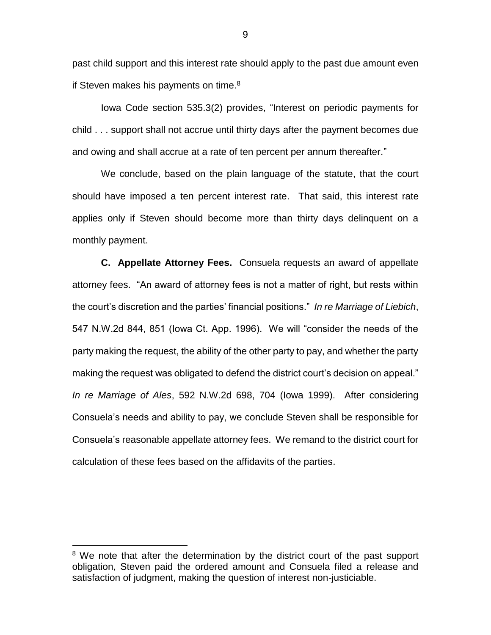past child support and this interest rate should apply to the past due amount even if Steven makes his payments on time.<sup>8</sup>

Iowa Code section 535.3(2) provides, "Interest on periodic payments for child . . . support shall not accrue until thirty days after the payment becomes due and owing and shall accrue at a rate of ten percent per annum thereafter."

We conclude, based on the plain language of the statute, that the court should have imposed a ten percent interest rate. That said, this interest rate applies only if Steven should become more than thirty days delinquent on a monthly payment.

**C. Appellate Attorney Fees.** Consuela requests an award of appellate attorney fees. "An award of attorney fees is not a matter of right, but rests within the court's discretion and the parties' financial positions." *In re Marriage of Liebich*, 547 N.W.2d 844, 851 (Iowa Ct. App. 1996). We will "consider the needs of the party making the request, the ability of the other party to pay, and whether the party making the request was obligated to defend the district court's decision on appeal." *In re Marriage of Ales*, 592 N.W.2d 698, 704 (Iowa 1999). After considering Consuela's needs and ability to pay, we conclude Steven shall be responsible for Consuela's reasonable appellate attorney fees. We remand to the district court for calculation of these fees based on the affidavits of the parties.

 $\overline{a}$ 

<sup>&</sup>lt;sup>8</sup> We note that after the determination by the district court of the past support obligation, Steven paid the ordered amount and Consuela filed a release and satisfaction of judgment, making the question of interest non-justiciable.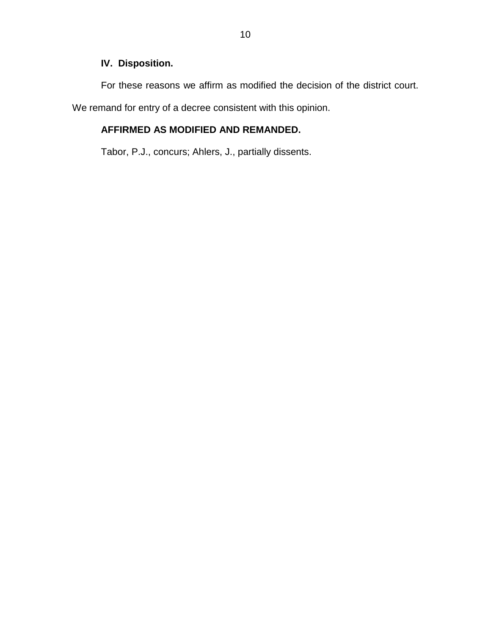# **IV. Disposition.**

For these reasons we affirm as modified the decision of the district court.

We remand for entry of a decree consistent with this opinion.

# **AFFIRMED AS MODIFIED AND REMANDED.**

Tabor, P.J., concurs; Ahlers, J., partially dissents.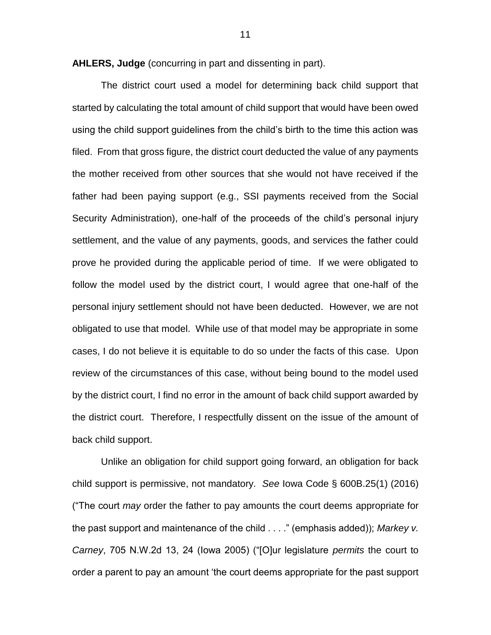**AHLERS, Judge** (concurring in part and dissenting in part).

The district court used a model for determining back child support that started by calculating the total amount of child support that would have been owed using the child support guidelines from the child's birth to the time this action was filed. From that gross figure, the district court deducted the value of any payments the mother received from other sources that she would not have received if the father had been paying support (e.g., SSI payments received from the Social Security Administration), one-half of the proceeds of the child's personal injury settlement, and the value of any payments, goods, and services the father could prove he provided during the applicable period of time. If we were obligated to follow the model used by the district court, I would agree that one-half of the personal injury settlement should not have been deducted. However, we are not obligated to use that model. While use of that model may be appropriate in some cases, I do not believe it is equitable to do so under the facts of this case. Upon review of the circumstances of this case, without being bound to the model used by the district court, I find no error in the amount of back child support awarded by the district court. Therefore, I respectfully dissent on the issue of the amount of back child support.

Unlike an obligation for child support going forward, an obligation for back child support is permissive, not mandatory. *See* Iowa Code § 600B.25(1) (2016) ("The court *may* order the father to pay amounts the court deems appropriate for the past support and maintenance of the child . . . ." (emphasis added)); *Markey v. Carney*, 705 N.W.2d 13, 24 (Iowa 2005) ("[O]ur legislature *permits* the court to order a parent to pay an amount 'the court deems appropriate for the past support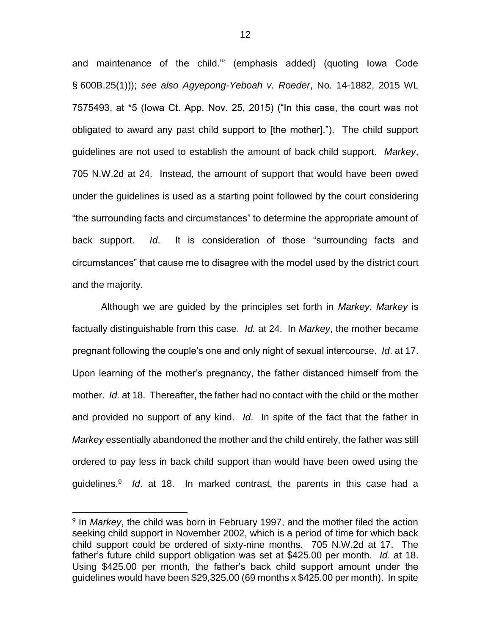and maintenance of the child.'" (emphasis added) (quoting Iowa Code § 600B.25(1))); *see also Agyepong-Yeboah v. Roeder*, No. 14-1882, 2015 WL 7575493, at \*5 (Iowa Ct. App. Nov. 25, 2015) ("In this case, the court was not obligated to award any past child support to [the mother]."). The child support guidelines are not used to establish the amount of back child support. *Markey*, 705 N.W.2d at 24. Instead, the amount of support that would have been owed under the guidelines is used as a starting point followed by the court considering "the surrounding facts and circumstances" to determine the appropriate amount of back support. *Id*. It is consideration of those "surrounding facts and circumstances" that cause me to disagree with the model used by the district court and the majority.

Although we are guided by the principles set forth in *Markey*, *Markey* is factually distinguishable from this case. *Id.* at 24. In *Markey*, the mother became pregnant following the couple's one and only night of sexual intercourse. *Id*. at 17. Upon learning of the mother's pregnancy, the father distanced himself from the mother. *Id.* at 18. Thereafter, the father had no contact with the child or the mother and provided no support of any kind. *Id*. In spite of the fact that the father in *Markey* essentially abandoned the mother and the child entirely, the father was still ordered to pay less in back child support than would have been owed using the guidelines.<sup>9</sup> *Id*. at 18. In marked contrast, the parents in this case had a

<sup>&</sup>lt;sup>9</sup> In *Markey*, the child was born in February 1997, and the mother filed the action seeking child support in November 2002, which is a period of time for which back child support could be ordered of sixty-nine months. 705 N.W.2d at 17. The father's future child support obligation was set at \$425.00 per month. *Id*. at 18. Using \$425.00 per month, the father's back child support amount under the guidelines would have been \$29,325.00 (69 months x \$425.00 per month). In spite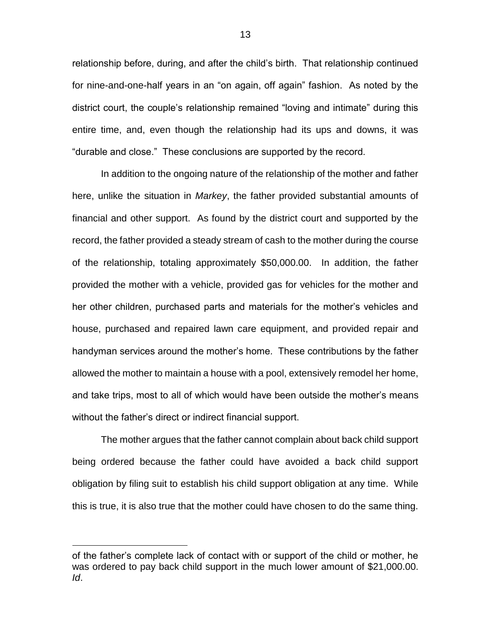relationship before, during, and after the child's birth. That relationship continued for nine-and-one-half years in an "on again, off again" fashion. As noted by the district court, the couple's relationship remained "loving and intimate" during this entire time, and, even though the relationship had its ups and downs, it was "durable and close." These conclusions are supported by the record.

In addition to the ongoing nature of the relationship of the mother and father here, unlike the situation in *Markey*, the father provided substantial amounts of financial and other support. As found by the district court and supported by the record, the father provided a steady stream of cash to the mother during the course of the relationship, totaling approximately \$50,000.00. In addition, the father provided the mother with a vehicle, provided gas for vehicles for the mother and her other children, purchased parts and materials for the mother's vehicles and house, purchased and repaired lawn care equipment, and provided repair and handyman services around the mother's home. These contributions by the father allowed the mother to maintain a house with a pool, extensively remodel her home, and take trips, most to all of which would have been outside the mother's means without the father's direct or indirect financial support.

The mother argues that the father cannot complain about back child support being ordered because the father could have avoided a back child support obligation by filing suit to establish his child support obligation at any time. While this is true, it is also true that the mother could have chosen to do the same thing.

of the father's complete lack of contact with or support of the child or mother, he was ordered to pay back child support in the much lower amount of \$21,000.00. *Id*.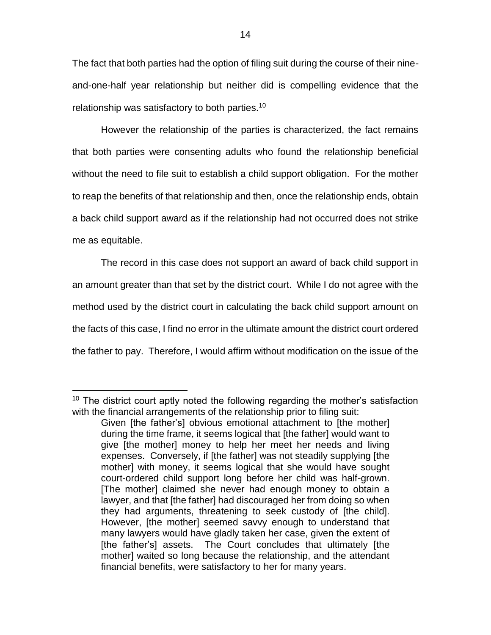The fact that both parties had the option of filing suit during the course of their nineand-one-half year relationship but neither did is compelling evidence that the relationship was satisfactory to both parties.<sup>10</sup>

However the relationship of the parties is characterized, the fact remains that both parties were consenting adults who found the relationship beneficial without the need to file suit to establish a child support obligation. For the mother to reap the benefits of that relationship and then, once the relationship ends, obtain a back child support award as if the relationship had not occurred does not strike me as equitable.

The record in this case does not support an award of back child support in an amount greater than that set by the district court. While I do not agree with the method used by the district court in calculating the back child support amount on the facts of this case, I find no error in the ultimate amount the district court ordered the father to pay. Therefore, I would affirm without modification on the issue of the

<sup>&</sup>lt;sup>10</sup> The district court aptly noted the following regarding the mother's satisfaction with the financial arrangements of the relationship prior to filing suit:

Given [the father's] obvious emotional attachment to [the mother] during the time frame, it seems logical that [the father] would want to give [the mother] money to help her meet her needs and living expenses. Conversely, if [the father] was not steadily supplying [the mother] with money, it seems logical that she would have sought court-ordered child support long before her child was half-grown. [The mother] claimed she never had enough money to obtain a lawyer, and that [the father] had discouraged her from doing so when they had arguments, threatening to seek custody of [the child]. However, [the mother] seemed savvy enough to understand that many lawyers would have gladly taken her case, given the extent of [the father's] assets. The Court concludes that ultimately [the mother] waited so long because the relationship, and the attendant financial benefits, were satisfactory to her for many years.